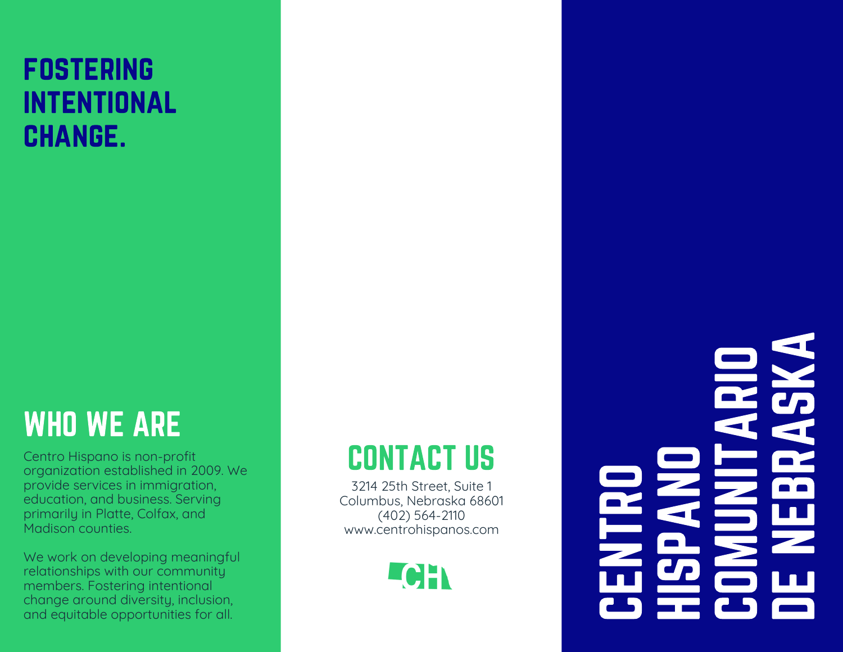#### **FOSTERING** intentional **CHANGE.**

### WHO WE ARE

Centro Hispano is non-profit organization established in 2009. We provide services in immigration, education, and business. Serving primarily in Platte, Colfax, and Madison counties.

We work on developing meaningful relationships with our community members. Fostering intentional change around diversity, inclusion, and equitable opportunities for all.

### CONTACT US

3214 25th Street, Suite 1 Columbus, Nebraska 68601 (402) 564-2110 www.centrohispanos.com



C D ENTROH**In the Common**  $\mathbf{C}_{\boldsymbol{P}}$  $\blacksquare$ ANOC D OM<u>USA</u> N**In the Common** TA**R In the Common** O**District** ENEe e **RE** A $\mathbf{C}_{\boldsymbol{P}}$ KA